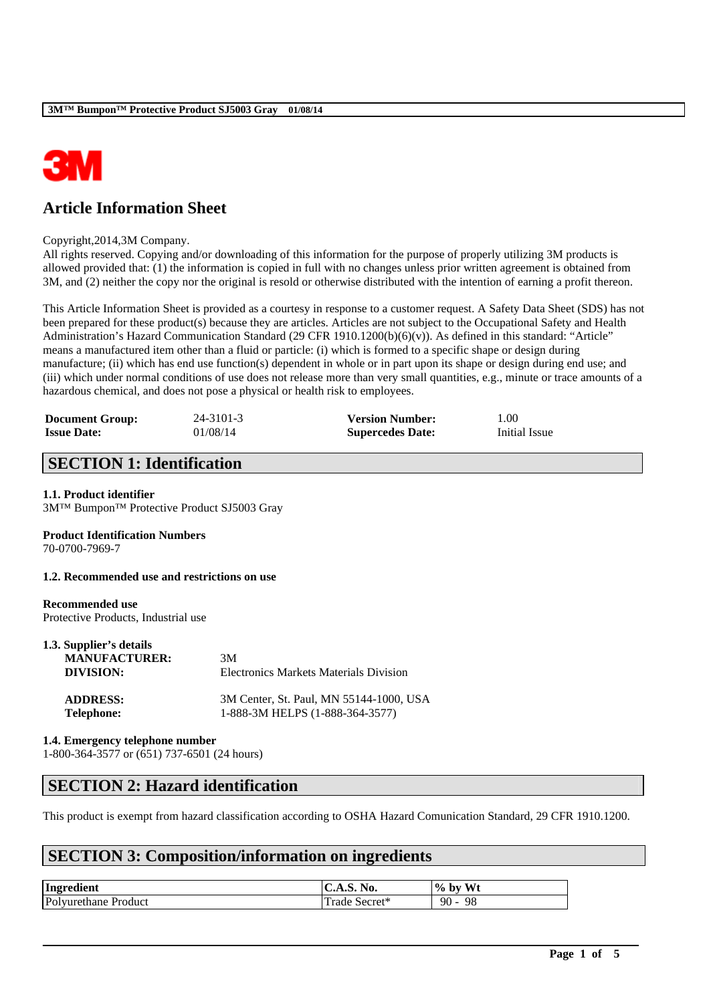

# **Article Information Sheet**

#### Copyright,2014,3M Company.

All rights reserved. Copying and/or downloading of this information for the purpose of properly utilizing 3M products is allowed provided that: (1) the information is copied in full with no changes unless prior written agreement is obtained from 3M, and (2) neither the copy nor the original is resold or otherwise distributed with the intention of earning a profit thereon.

This Article Information Sheet is provided as a courtesy in response to a customer request. A Safety Data Sheet (SDS) has not been prepared for these product(s) because they are articles. Articles are not subject to the Occupational Safety and Health Administration's Hazard Communication Standard (29 CFR 1910.1200(b)(6)(v)). As defined in this standard: "Article" means a manufactured item other than a fluid or particle: (i) which is formed to a specific shape or design during manufacture; (ii) which has end use function(s) dependent in whole or in part upon its shape or design during end use; and (iii) which under normal conditions of use does not release more than very small quantities, e.g., minute or trace amounts of a hazardous chemical, and does not pose a physical or health risk to employees.

| <b>Document Group:</b> | 24-3101-3 | <b>Version Number:</b>  | 1.00          |
|------------------------|-----------|-------------------------|---------------|
| <b>Issue Date:</b>     | 01/08/14  | <b>Supercedes Date:</b> | Initial Issue |

## **SECTION 1: Identification**

### **1.1. Product identifier**

3M™ Bumpon™ Protective Product SJ5003 Gray

### **Product Identification Numbers**

70-0700-7969-7

**1.2. Recommended use and restrictions on use**

# **Recommended use**

Protective Products, Industrial use

| 1.3. Supplier's details |                                               |  |  |
|-------------------------|-----------------------------------------------|--|--|
| <b>MANUFACTURER:</b>    | 3M                                            |  |  |
| DIVISION:               | <b>Electronics Markets Materials Division</b> |  |  |
| <b>ADDRESS:</b>         | 3M Center, St. Paul, MN 55144-1000, USA       |  |  |
| <b>Telephone:</b>       | 1-888-3M HELPS (1-888-364-3577)               |  |  |

**1.4. Emergency telephone number**

1-800-364-3577 or (651) 737-6501 (24 hours)

# **SECTION 2: Hazard identification**

This product is exempt from hazard classification according to OSHA Hazard Comunication Standard, 29 CFR 1910.1200.

\_\_\_\_\_\_\_\_\_\_\_\_\_\_\_\_\_\_\_\_\_\_\_\_\_\_\_\_\_\_\_\_\_\_\_\_\_\_\_\_\_\_\_\_\_\_\_\_\_\_\_\_\_\_\_\_\_\_\_\_\_\_\_\_\_\_\_\_\_\_\_\_\_\_\_\_\_\_\_\_\_\_\_\_\_\_\_\_\_\_

### **SECTION 3: Composition/information on ingredients**

| Ingredient           | C.A.S. No.    | Wt<br>$%$ by |
|----------------------|---------------|--------------|
| Polyurethane Product | Trade Secret* | 90<br>98     |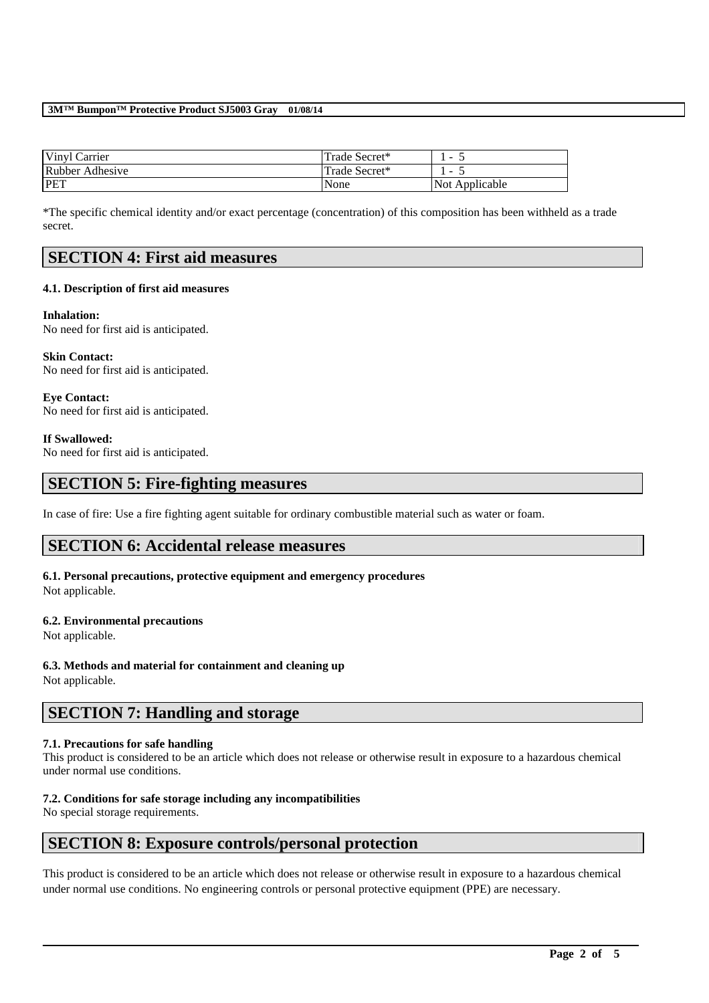#### **3M™ Bumpon™ Protective Product SJ5003 Gray 01/08/14**

| Vinyl Carrier   | Trade Secret* | $\overline{\phantom{a}}$ |
|-----------------|---------------|--------------------------|
| Rubber Adhesive | Trade Secret* | $\overline{\phantom{0}}$ |
| PET             | None          | Not Applicable           |

\*The specific chemical identity and/or exact percentage (concentration) of this composition has been withheld as a trade secret.

### **SECTION 4: First aid measures**

### **4.1. Description of first aid measures**

#### **Inhalation:**

No need for first aid is anticipated.

**Skin Contact:**  No need for first aid is anticipated.

**Eye Contact:**  No need for first aid is anticipated.

### **If Swallowed:**

No need for first aid is anticipated.

### **SECTION 5: Fire-fighting measures**

In case of fire: Use a fire fighting agent suitable for ordinary combustible material such as water or foam.

### **SECTION 6: Accidental release measures**

#### **6.1. Personal precautions, protective equipment and emergency procedures** Not applicable.

### **6.2. Environmental precautions**

Not applicable.

### **6.3. Methods and material for containment and cleaning up**

Not applicable.

## **SECTION 7: Handling and storage**

### **7.1. Precautions for safe handling**

This product is considered to be an article which does not release or otherwise result in exposure to a hazardous chemical under normal use conditions.

### **7.2. Conditions for safe storage including any incompatibilities**

No special storage requirements.

### **SECTION 8: Exposure controls/personal protection**

This product is considered to be an article which does not release or otherwise result in exposure to a hazardous chemical under normal use conditions. No engineering controls or personal protective equipment (PPE) are necessary.

\_\_\_\_\_\_\_\_\_\_\_\_\_\_\_\_\_\_\_\_\_\_\_\_\_\_\_\_\_\_\_\_\_\_\_\_\_\_\_\_\_\_\_\_\_\_\_\_\_\_\_\_\_\_\_\_\_\_\_\_\_\_\_\_\_\_\_\_\_\_\_\_\_\_\_\_\_\_\_\_\_\_\_\_\_\_\_\_\_\_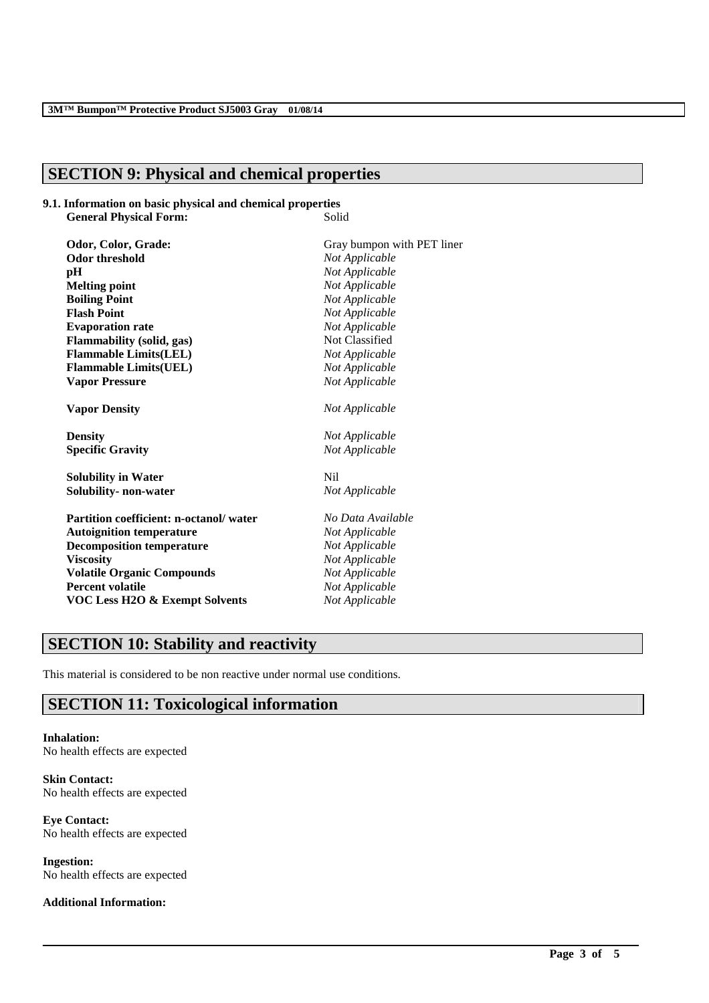### **SECTION 9: Physical and chemical properties**

#### **9.1. Information on basic physical and chemical properties** General Physical Form: **Solid**

**Odor, Color, Grade:** Gray bumpon with PET liner **Odor threshold** *Not Applicable*<br>**pH** *Not Applicable* **Melting point** *Not Applicable* **Boiling Point** *Not Applicable* **Flash Point** *Not Applicable* **Evaporation rate** *Not Applicable* **Flammability (solid, gas)** Not Classified **Flammable Limits(LEL)** *Not Applicable* **Flammable Limits(UEL)** *Not Applicable* **Vapor Pressure** *Not Applicable*

**Density** *Not Applicable* **Specific Gravity** *Not Applicable*

**Solubility in Water** Nil **Solubility- non-water** *Not Applicable*

**Partition coefficient: n-octanol/ water** *No Data Available* **Autoignition temperature** *Not Applicable* **Decomposition temperature** *Not Applicable* **Viscosity** *Not Applicable* **Volatile Organic Compounds** *Not Applicable* **Percent volatile** *Not Applicable* **VOC Less H2O & Exempt Solvents** *Not Applicable*

**Not Applicable Vapor Density** *Not Applicable*

\_\_\_\_\_\_\_\_\_\_\_\_\_\_\_\_\_\_\_\_\_\_\_\_\_\_\_\_\_\_\_\_\_\_\_\_\_\_\_\_\_\_\_\_\_\_\_\_\_\_\_\_\_\_\_\_\_\_\_\_\_\_\_\_\_\_\_\_\_\_\_\_\_\_\_\_\_\_\_\_\_\_\_\_\_\_\_\_\_\_

# **SECTION 10: Stability and reactivity**

This material is considered to be non reactive under normal use conditions.

## **SECTION 11: Toxicological information**

**Inhalation:** No health effects are expected

**Skin Contact:** No health effects are expected

**Eye Contact:** No health effects are expected

**Ingestion:** No health effects are expected

**Additional Information:**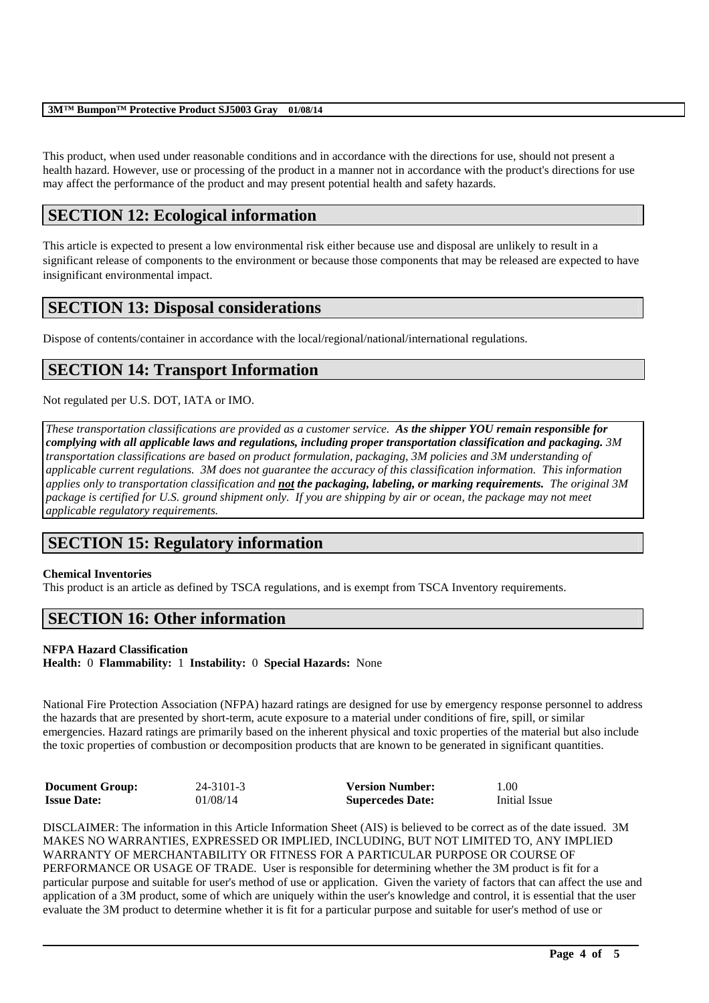#### **3M™ Bumpon™ Protective Product SJ5003 Gray 01/08/14**

This product, when used under reasonable conditions and in accordance with the directions for use, should not present a health hazard. However, use or processing of the product in a manner not in accordance with the product's directions for use may affect the performance of the product and may present potential health and safety hazards.

## **SECTION 12: Ecological information**

This article is expected to present a low environmental risk either because use and disposal are unlikely to result in a significant release of components to the environment or because those components that may be released are expected to have insignificant environmental impact.

## **SECTION 13: Disposal considerations**

Dispose of contents/container in accordance with the local/regional/national/international regulations.

# **SECTION 14: Transport Information**

Not regulated per U.S. DOT, IATA or IMO.

*These transportation classifications are provided as a customer service. As the shipper YOU remain responsible for complying with all applicable laws and regulations, including proper transportation classification and packaging. 3M transportation classifications are based on product formulation, packaging, 3M policies and 3M understanding of applicable current regulations. 3M does not guarantee the accuracy of this classification information. This information applies only to transportation classification and not the packaging, labeling, or marking requirements. The original 3M package is certified for U.S. ground shipment only. If you are shipping by air or ocean, the package may not meet applicable regulatory requirements.* 

## **SECTION 15: Regulatory information**

### **Chemical Inventories**

This product is an article as defined by TSCA regulations, and is exempt from TSCA Inventory requirements.

## **SECTION 16: Other information**

### **NFPA Hazard Classification**

**Health:** 0 **Flammability:** 1 **Instability:** 0 **Special Hazards:** None

National Fire Protection Association (NFPA) hazard ratings are designed for use by emergency response personnel to address the hazards that are presented by short-term, acute exposure to a material under conditions of fire, spill, or similar emergencies. Hazard ratings are primarily based on the inherent physical and toxic properties of the material but also include the toxic properties of combustion or decomposition products that are known to be generated in significant quantities.

| <b>Document Group:</b> | $24 - 3101 - 3$ | <b>Version Number:</b>  | 1.00          |
|------------------------|-----------------|-------------------------|---------------|
| <b>Issue Date:</b>     | 01/08/14        | <b>Supercedes Date:</b> | Initial Issue |

DISCLAIMER: The information in this Article Information Sheet (AIS) is believed to be correct as of the date issued. 3M MAKES NO WARRANTIES, EXPRESSED OR IMPLIED, INCLUDING, BUT NOT LIMITED TO, ANY IMPLIED WARRANTY OF MERCHANTABILITY OR FITNESS FOR A PARTICULAR PURPOSE OR COURSE OF PERFORMANCE OR USAGE OF TRADE. User is responsible for determining whether the 3M product is fit for a particular purpose and suitable for user's method of use or application. Given the variety of factors that can affect the use and application of a 3M product, some of which are uniquely within the user's knowledge and control, it is essential that the user evaluate the 3M product to determine whether it is fit for a particular purpose and suitable for user's method of use or

\_\_\_\_\_\_\_\_\_\_\_\_\_\_\_\_\_\_\_\_\_\_\_\_\_\_\_\_\_\_\_\_\_\_\_\_\_\_\_\_\_\_\_\_\_\_\_\_\_\_\_\_\_\_\_\_\_\_\_\_\_\_\_\_\_\_\_\_\_\_\_\_\_\_\_\_\_\_\_\_\_\_\_\_\_\_\_\_\_\_